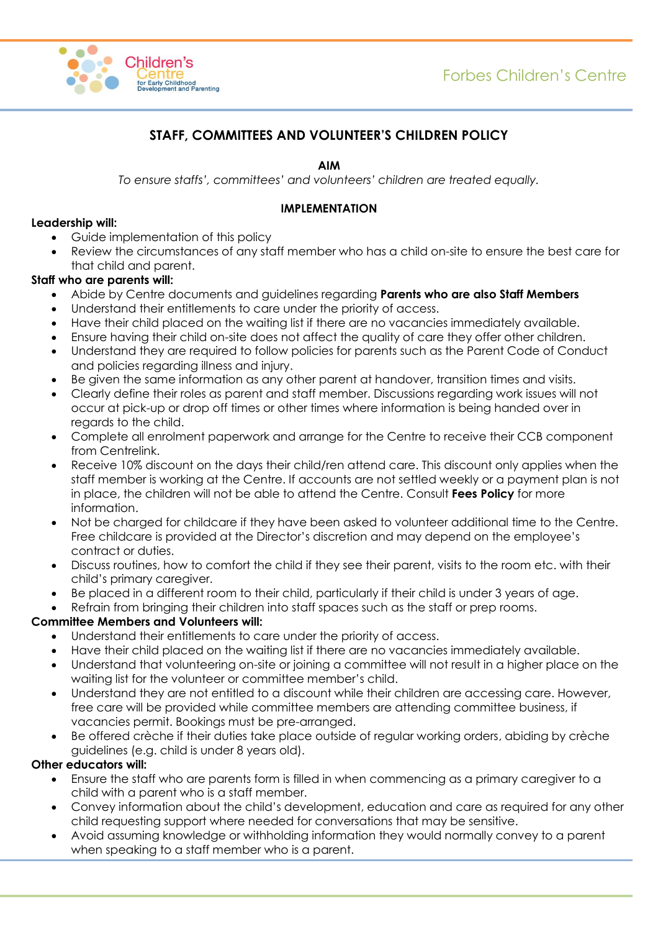

# **STAFF, COMMITTEES AND VOLUNTEER'S CHILDREN POLICY**

**AIM**

*To ensure staffs', committees' and volunteers' children are treated equally.*

### **IMPLEMENTATION**

### **Leadership will:**

- Guide implementation of this policy
- Review the circumstances of any staff member who has a child on-site to ensure the best care for that child and parent.

## **Staff who are parents will:**

- Abide by Centre documents and guidelines regarding **Parents who are also Staff Members**
- Understand their entitlements to care under the priority of access.
- Have their child placed on the waiting list if there are no vacancies immediately available.
- Ensure having their child on-site does not affect the quality of care they offer other children.
- Understand they are required to follow policies for parents such as the Parent Code of Conduct and policies regarding illness and injury.
- Be given the same information as any other parent at handover, transition times and visits.
- Clearly define their roles as parent and staff member. Discussions regarding work issues will not occur at pick-up or drop off times or other times where information is being handed over in regards to the child.
- Complete all enrolment paperwork and arrange for the Centre to receive their CCB component from Centrelink.
- Receive 10% discount on the days their child/ren attend care. This discount only applies when the staff member is working at the Centre. If accounts are not settled weekly or a payment plan is not in place, the children will not be able to attend the Centre. Consult **Fees Policy** for more information.
- Not be charged for childcare if they have been asked to volunteer additional time to the Centre. Free childcare is provided at the Director's discretion and may depend on the employee's contract or duties.
- Discuss routines, how to comfort the child if they see their parent, visits to the room etc. with their child's primary caregiver.
- Be placed in a different room to their child, particularly if their child is under 3 years of age.
- Refrain from bringing their children into staff spaces such as the staff or prep rooms.

## **Committee Members and Volunteers will:**

- Understand their entitlements to care under the priority of access.
- Have their child placed on the waiting list if there are no vacancies immediately available.
- Understand that volunteering on-site or joining a committee will not result in a higher place on the waiting list for the volunteer or committee member's child.
- Understand they are not entitled to a discount while their children are accessing care. However, free care will be provided while committee members are attending committee business, if vacancies permit. Bookings must be pre-arranged.
- Be offered crèche if their duties take place outside of regular working orders, abiding by crèche guidelines (e.g. child is under 8 years old).

## **Other educators will:**

- Ensure the staff who are parents form is filled in when commencing as a primary caregiver to a child with a parent who is a staff member.
- Convey information about the child's development, education and care as required for any other child requesting support where needed for conversations that may be sensitive.
- Avoid assuming knowledge or withholding information they would normally convey to a parent when speaking to a staff member who is a parent.